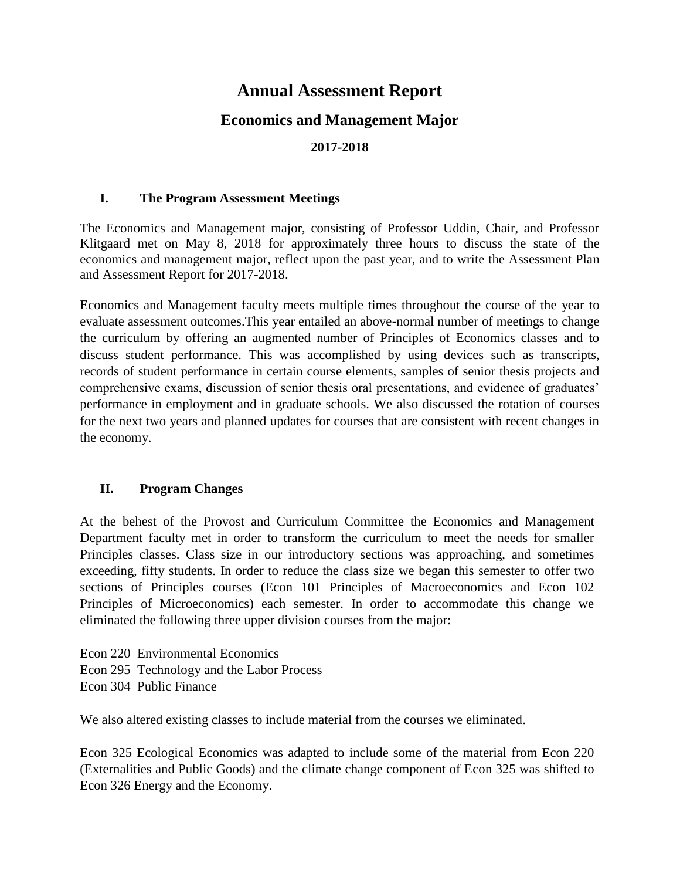# **Annual Assessment Report**

# **Economics and Management Major**

#### **2017-2018**

#### **I. The Program Assessment Meetings**

The Economics and Management major, consisting of Professor Uddin, Chair, and Professor Klitgaard met on May 8, 2018 for approximately three hours to discuss the state of the economics and management major, reflect upon the past year, and to write the Assessment Plan and Assessment Report for 2017-2018.

Economics and Management faculty meets multiple times throughout the course of the year to evaluate assessment outcomes.This year entailed an above-normal number of meetings to change the curriculum by offering an augmented number of Principles of Economics classes and to discuss student performance. This was accomplished by using devices such as transcripts, records of student performance in certain course elements, samples of senior thesis projects and comprehensive exams, discussion of senior thesis oral presentations, and evidence of graduates' performance in employment and in graduate schools. We also discussed the rotation of courses for the next two years and planned updates for courses that are consistent with recent changes in the economy.

### **II. Program Changes**

At the behest of the Provost and Curriculum Committee the Economics and Management Department faculty met in order to transform the curriculum to meet the needs for smaller Principles classes. Class size in our introductory sections was approaching, and sometimes exceeding, fifty students. In order to reduce the class size we began this semester to offer two sections of Principles courses (Econ 101 Principles of Macroeconomics and Econ 102 Principles of Microeconomics) each semester. In order to accommodate this change we eliminated the following three upper division courses from the major:

Econ 220 Environmental Economics Econ 295 Technology and the Labor Process Econ 304 Public Finance

We also altered existing classes to include material from the courses we eliminated.

Econ 325 Ecological Economics was adapted to include some of the material from Econ 220 (Externalities and Public Goods) and the climate change component of Econ 325 was shifted to Econ 326 Energy and the Economy.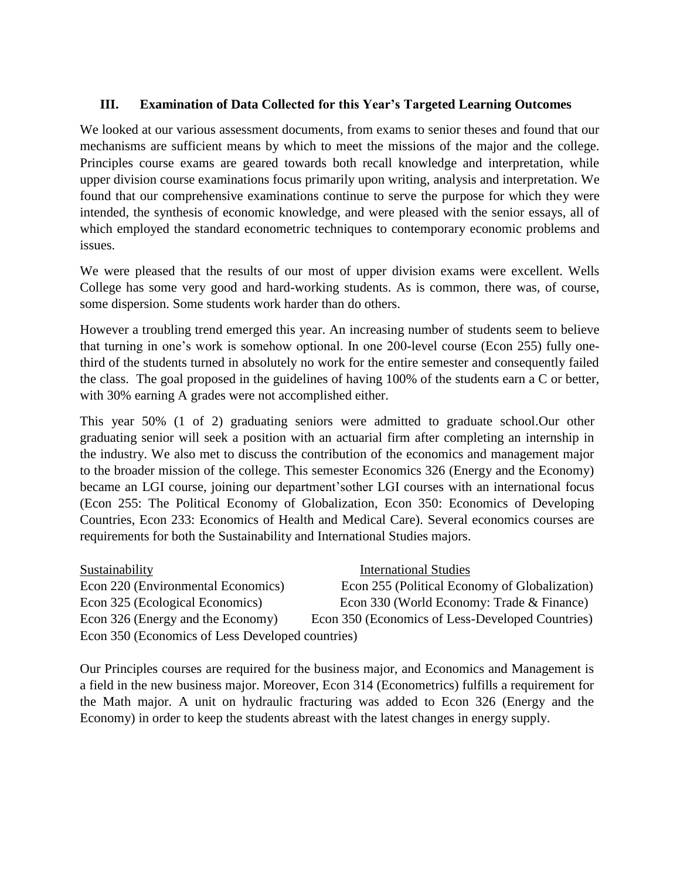#### **III. Examination of Data Collected for this Year's Targeted Learning Outcomes**

We looked at our various assessment documents, from exams to senior theses and found that our mechanisms are sufficient means by which to meet the missions of the major and the college. Principles course exams are geared towards both recall knowledge and interpretation, while upper division course examinations focus primarily upon writing, analysis and interpretation. We found that our comprehensive examinations continue to serve the purpose for which they were intended, the synthesis of economic knowledge, and were pleased with the senior essays, all of which employed the standard econometric techniques to contemporary economic problems and issues.

We were pleased that the results of our most of upper division exams were excellent. Wells College has some very good and hard-working students. As is common, there was, of course, some dispersion. Some students work harder than do others.

However a troubling trend emerged this year. An increasing number of students seem to believe that turning in one's work is somehow optional. In one 200-level course (Econ 255) fully onethird of the students turned in absolutely no work for the entire semester and consequently failed the class. The goal proposed in the guidelines of having 100% of the students earn a C or better, with 30% earning A grades were not accomplished either.

This year 50% (1 of 2) graduating seniors were admitted to graduate school.Our other graduating senior will seek a position with an actuarial firm after completing an internship in the industry. We also met to discuss the contribution of the economics and management major to the broader mission of the college. This semester Economics 326 (Energy and the Economy) became an LGI course, joining our department'sother LGI courses with an international focus (Econ 255: The Political Economy of Globalization, Econ 350: Economics of Developing Countries, Econ 233: Economics of Health and Medical Care). Several economics courses are requirements for both the Sustainability and International Studies majors.

| Sustainability                                   | <b>International Studies</b>                     |
|--------------------------------------------------|--------------------------------------------------|
| Econ 220 (Environmental Economics)               | Econ 255 (Political Economy of Globalization)    |
| Econ 325 (Ecological Economics)                  | Econ 330 (World Economy: Trade & Finance)        |
| Econ 326 (Energy and the Economy)                | Econ 350 (Economics of Less-Developed Countries) |
| Econ 350 (Economics of Less Developed countries) |                                                  |

Our Principles courses are required for the business major, and Economics and Management is a field in the new business major. Moreover, Econ 314 (Econometrics) fulfills a requirement for the Math major. A unit on hydraulic fracturing was added to Econ 326 (Energy and the Economy) in order to keep the students abreast with the latest changes in energy supply.